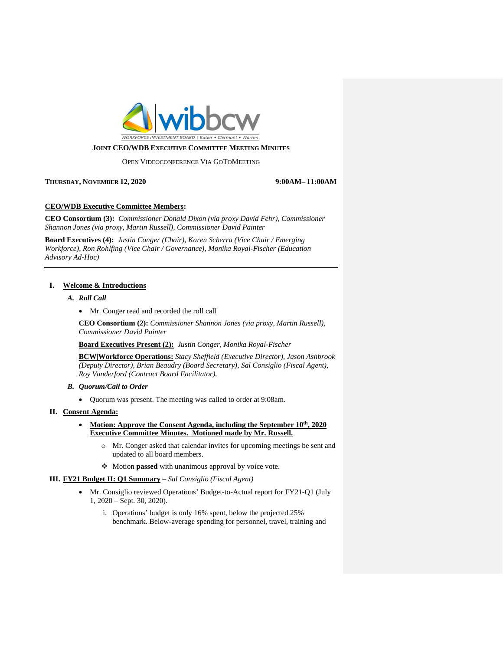

### OPEN VIDEOCONFERENCE VIA GOTOMEETING

**THURSDAY, NOVEMBER 12, 2020 9:00AM– 11:00AM**

# **CEO/WDB Executive Committee Members:**

**CEO Consortium (3):** *Commissioner Donald Dixon (via proxy David Fehr), Commissioner Shannon Jones (via proxy, Martin Russell), Commissioner David Painter*

**Board Executives (4):** *Justin Conger (Chair), Karen Scherra (Vice Chair / Emerging Workforce), Ron Rohlfing (Vice Chair / Governance), Monika Royal-Fischer (Education Advisory Ad-Hoc)*

## **I. Welcome & Introductions**

# *A. Roll Call*

• Mr. Conger read and recorded the roll call

**CEO Consortium (2):** *Commissioner Shannon Jones (via proxy, Martin Russell), Commissioner David Painter*

**Board Executives Present (2):** *Justin Conger, Monika Royal-Fischer*

**BCW|Workforce Operations:** *Stacy Sheffield (Executive Director), Jason Ashbrook (Deputy Director), Brian Beaudry (Board Secretary), Sal Consiglio (Fiscal Agent), Roy Vanderford (Contract Board Facilitator).*

- *B. Quorum/Call to Order*
	- Quorum was present. The meeting was called to order at 9:08am.

### **II. Consent Agenda:**

- **Motion: Approve the Consent Agenda, including the September 10th, 2020 Executive Committee Minutes. Motioned made by Mr. Russell.**
	- o Mr. Conger asked that calendar invites for upcoming meetings be sent and updated to all board members.
	- ❖ Motion **passed** with unanimous approval by voice vote.

## **III. FY21 Budget II: Q1 Summary –** *Sal Consiglio (Fiscal Agent)*

- Mr. Consiglio reviewed Operations' Budget-to-Actual report for FY21-Q1 (July 1, 2020 – Sept. 30, 2020).
	- i. Operations' budget is only 16% spent, below the projected 25% benchmark. Below-average spending for personnel, travel, training and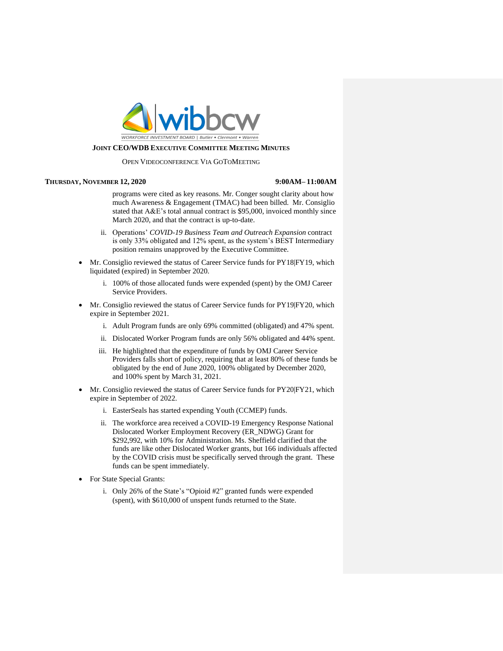

### OPEN VIDEOCONFERENCE VIA GOTOMEETING

### **THURSDAY, NOVEMBER 12, 2020 9:00AM– 11:00AM**

programs were cited as key reasons. Mr. Conger sought clarity about how much Awareness & Engagement (TMAC) had been billed. Mr. Consiglio stated that A&E's total annual contract is \$95,000, invoiced monthly since March 2020, and that the contract is up-to-date.

- ii. Operations' *COVID-19 Business Team and Outreach Expansion* contract is only 33% obligated and 12% spent, as the system's BEST Intermediary position remains unapproved by the Executive Committee.
- Mr. Consiglio reviewed the status of Career Service funds for PY18|FY19, which liquidated (expired) in September 2020.
	- i. 100% of those allocated funds were expended (spent) by the OMJ Career Service Providers.
- Mr. Consiglio reviewed the status of Career Service funds for PY19|FY20, which expire in September 2021.
	- i. Adult Program funds are only 69% committed (obligated) and 47% spent.
	- ii. Dislocated Worker Program funds are only 56% obligated and 44% spent.
	- iii. He highlighted that the expenditure of funds by OMJ Career Service Providers falls short of policy, requiring that at least 80% of these funds be obligated by the end of June 2020, 100% obligated by December 2020, and 100% spent by March 31, 2021.
- Mr. Consiglio reviewed the status of Career Service funds for PY20|FY21, which expire in September of 2022.
	- i. EasterSeals has started expending Youth (CCMEP) funds.
	- ii. The workforce area received a COVID-19 Emergency Response National Dislocated Worker Employment Recovery (ER\_NDWG) Grant for \$292,992, with 10% for Administration. Ms. Sheffield clarified that the funds are like other Dislocated Worker grants, but 166 individuals affected by the COVID crisis must be specifically served through the grant. These funds can be spent immediately.
- For State Special Grants:
	- i. Only 26% of the State's "Opioid #2" granted funds were expended (spent), with \$610,000 of unspent funds returned to the State.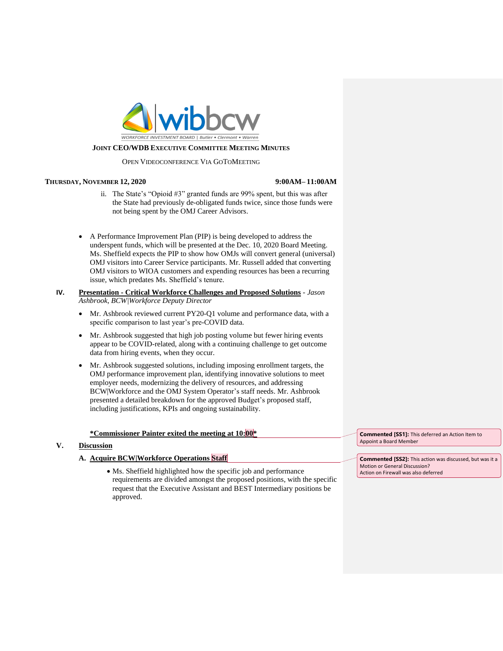

### OPEN VIDEOCONFERENCE VIA GOTOMEETING

## **THURSDAY, NOVEMBER 12, 2020 9:00AM– 11:00AM**

- ii. The State's "Opioid #3" granted funds are 99% spent, but this was after the State had previously de-obligated funds twice, since those funds were not being spent by the OMJ Career Advisors.
- A Performance Improvement Plan (PIP) is being developed to address the underspent funds, which will be presented at the Dec. 10, 2020 Board Meeting. Ms. Sheffield expects the PIP to show how OMJs will convert general (universal) OMJ visitors into Career Service participants. Mr. Russell added that converting OMJ visitors to WIOA customers and expending resources has been a recurring issue, which predates Ms. Sheffield's tenure.

# **IV. Presentation - Critical Workforce Challenges and Proposed Solutions** - *Jason Ashbrook, BCW|Workforce Deputy Director*

- Mr. Ashbrook reviewed current PY20-Q1 volume and performance data, with a specific comparison to last year's pre-COVID data.
- Mr. Ashbrook suggested that high job posting volume but fewer hiring events appear to be COVID-related, along with a continuing challenge to get outcome data from hiring events, when they occur.
- Mr. Ashbrook suggested solutions, including imposing enrollment targets, the OMJ performance improvement plan, identifying innovative solutions to meet employer needs, modernizing the delivery of resources, and addressing BCW|Workforce and the OMJ System Operator's staff needs. Mr. Ashbrook presented a detailed breakdown for the approved Budget's proposed staff, including justifications, KPIs and ongoing sustainability.

# **\*Commissioner Painter exited the meeting at 10:00\***

# **V. Discussion**

# **A. Acquire BCW|Workforce Operations Staff**

• Ms. Sheffield highlighted how the specific job and performance requirements are divided amongst the proposed positions, with the specific request that the Executive Assistant and BEST Intermediary positions be approved.

**Commented [SS1]:** This deferred an Action Item to Appoint a Board Member

**Commented [SS2]:** This action was discussed, but was it a Motion or General Discussion? Action on Firewall was also deferred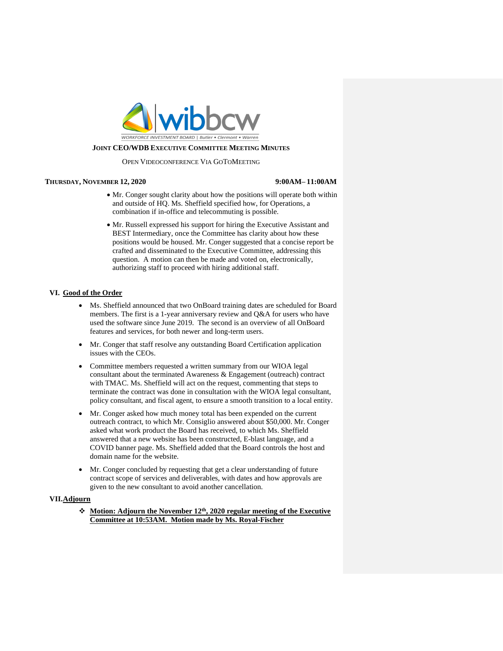

### OPEN VIDEOCONFERENCE VIA GOTOMEETING

### **THURSDAY, NOVEMBER 12, 2020 9:00AM– 11:00AM**

- Mr. Conger sought clarity about how the positions will operate both within and outside of HQ. Ms. Sheffield specified how, for Operations, a combination if in-office and telecommuting is possible.
- Mr. Russell expressed his support for hiring the Executive Assistant and BEST Intermediary, once the Committee has clarity about how these positions would be housed. Mr. Conger suggested that a concise report be crafted and disseminated to the Executive Committee, addressing this question. A motion can then be made and voted on, electronically, authorizing staff to proceed with hiring additional staff.

## **VI. Good of the Order**

- Ms. Sheffield announced that two OnBoard training dates are scheduled for Board members. The first is a 1-year anniversary review and Q&A for users who have used the software since June 2019. The second is an overview of all OnBoard features and services, for both newer and long-term users.
- Mr. Conger that staff resolve any outstanding Board Certification application issues with the CEOs.
- Committee members requested a written summary from our WIOA legal consultant about the terminated Awareness & Engagement (outreach) contract with TMAC. Ms. Sheffield will act on the request, commenting that steps to terminate the contract was done in consultation with the WIOA legal consultant, policy consultant, and fiscal agent, to ensure a smooth transition to a local entity.
- Mr. Conger asked how much money total has been expended on the current outreach contract, to which Mr. Consiglio answered about \$50,000. Mr. Conger asked what work product the Board has received, to which Ms. Sheffield answered that a new website has been constructed, E-blast language, and a COVID banner page. Ms. Sheffield added that the Board controls the host and domain name for the website.
- Mr. Conger concluded by requesting that get a clear understanding of future contract scope of services and deliverables, with dates and how approvals are given to the new consultant to avoid another cancellation.

## **VII.Adjourn**

❖ **Motion: Adjourn the November 12th, 2020 regular meeting of the Executive Committee at 10:53AM. Motion made by Ms. Royal-Fischer**